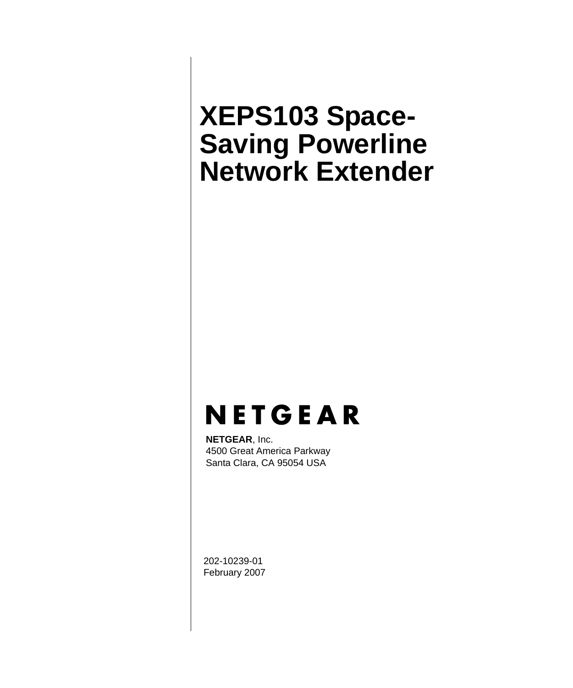# <span id="page-0-0"></span>**XEPS103 Space-Saving Powerline Network Extender**

# **NETGEAR**

**NETGEAR**, Inc. 4500 Great America Parkway Santa Clara, CA 95054 USA

202-10239-01 February 2007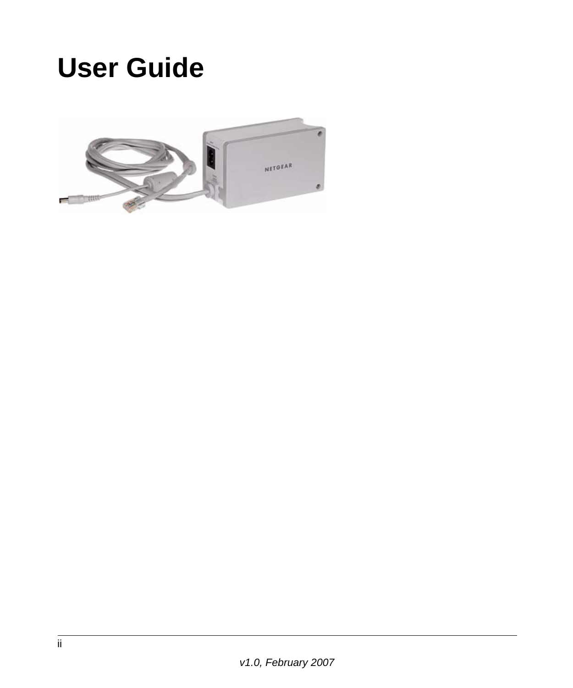# **User Guide**

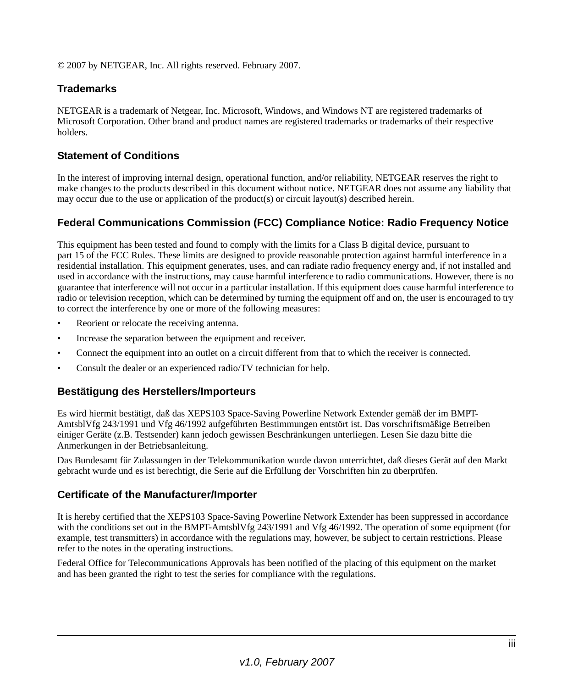© 2007 by NETGEAR, Inc. All rights reserved. February 2007.

#### **Trademarks**

NETGEAR is a trademark of Netgear, Inc. Microsoft, Windows, and Windows NT are registered trademarks of Microsoft Corporation. Other brand and product names are registered trademarks or trademarks of their respective holders.

#### **Statement of Conditions**

In the interest of improving internal design, operational function, and/or reliability, NETGEAR reserves the right to make changes to the products described in this document without notice. NETGEAR does not assume any liability that may occur due to the use or application of the product(s) or circuit layout(s) described herein.

#### **Federal Communications Commission (FCC) Compliance Notice: Radio Frequency Notice**

This equipment has been tested and found to comply with the limits for a Class B digital device, pursuant to part 15 of the FCC Rules. These limits are designed to provide reasonable protection against harmful interference in a residential installation. This equipment generates, uses, and can radiate radio frequency energy and, if not installed and used in accordance with the instructions, may cause harmful interference to radio communications. However, there is no guarantee that interference will not occur in a particular installation. If this equipment does cause harmful interference to radio or television reception, which can be determined by turning the equipment off and on, the user is encouraged to try to correct the interference by one or more of the following measures:

- Reorient or relocate the receiving antenna.
- Increase the separation between the equipment and receiver.
- Connect the equipment into an outlet on a circuit different from that to which the receiver is connected.
- Consult the dealer or an experienced radio/TV technician for help.

#### **Bestätigung des Herstellers/Importeurs**

Es wird hiermit bestätigt, daß das XEPS103 Space-Saving Powerline Network Extender gemäß der im BMPT-AmtsblVfg 243/1991 und Vfg 46/1992 aufgeführten Bestimmungen entstört ist. Das vorschriftsmäßige Betreiben einiger Geräte (z.B. Testsender) kann jedoch gewissen Beschränkungen unterliegen. Lesen Sie dazu bitte die Anmerkungen in der Betriebsanleitung.

Das Bundesamt für Zulassungen in der Telekommunikation wurde davon unterrichtet, daß dieses Gerät auf den Markt gebracht wurde und es ist berechtigt, die Serie auf die Erfüllung der Vorschriften hin zu überprüfen.

#### **Certificate of the Manufacturer/Importer**

It is hereby certified that the XEPS103 Space-Saving Powerline Network Extender has been suppressed in accordance with the conditions set out in the BMPT-AmtsblVfg 243/1991 and Vfg 46/1992. The operation of some equipment (for example, test transmitters) in accordance with the regulations may, however, be subject to certain restrictions. Please refer to the notes in the operating instructions.

Federal Office for Telecommunications Approvals has been notified of the placing of this equipment on the market and has been granted the right to test the series for compliance with the regulations.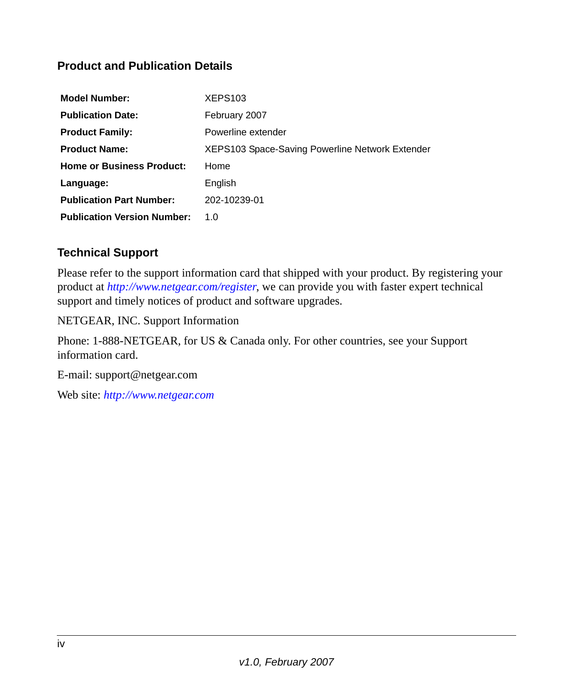#### **Product and Publication Details**

| <b>Model Number:</b>               | XEPS <sub>103</sub>                             |
|------------------------------------|-------------------------------------------------|
| <b>Publication Date:</b>           | February 2007                                   |
| <b>Product Family:</b>             | Powerline extender                              |
| <b>Product Name:</b>               | XEPS103 Space-Saving Powerline Network Extender |
| <b>Home or Business Product:</b>   | Home                                            |
| Language:                          | English                                         |
| <b>Publication Part Number:</b>    | 202-10239-01                                    |
| <b>Publication Version Number:</b> | 1. $\Omega$                                     |

#### **Technical Support**

Please refer to the support information card that shipped with your product. By registering your product at *<http://www.netgear.com/register>*, we can provide you with faster expert technical support and timely notices of product and software upgrades.

NETGEAR, INC. Support Information

Phone: 1-888-NETGEAR, for US & Canada only. For other countries, see your Support information card.

E-mail: support@netgear.com

Web site: *<http://www.netgear.com>*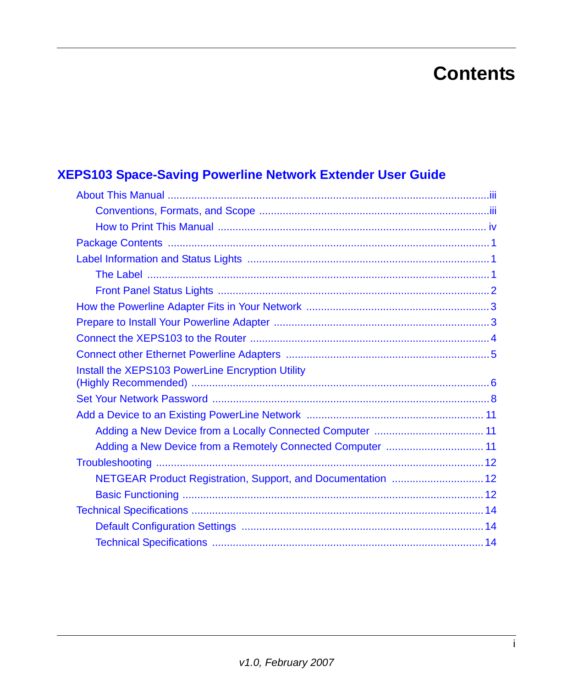# **Contents**

#### XEPS103 Space-Saving Powerline Network Extender User Guide

| Install the XEPS103 PowerLine Encryption Utility             |  |
|--------------------------------------------------------------|--|
|                                                              |  |
|                                                              |  |
| Adding a New Device from a Locally Connected Computer  11    |  |
| Adding a New Device from a Remotely Connected Computer  11   |  |
|                                                              |  |
| NETGEAR Product Registration, Support, and Documentation  12 |  |
|                                                              |  |
|                                                              |  |
|                                                              |  |
|                                                              |  |
|                                                              |  |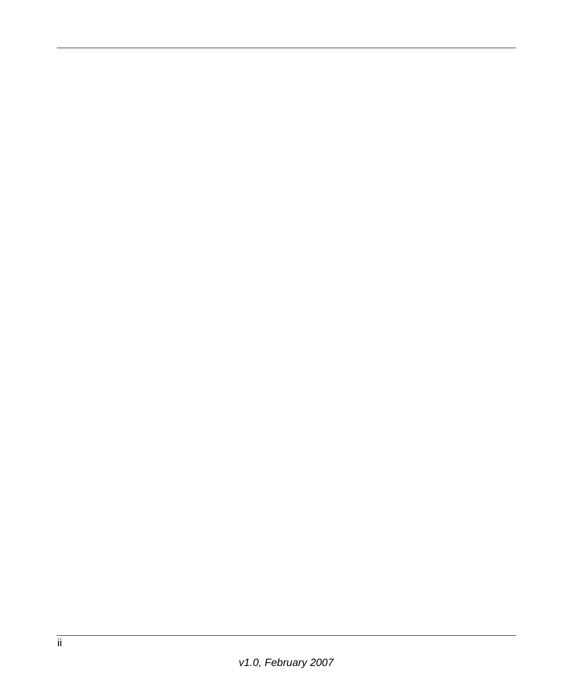#### *v1.0, February 2007*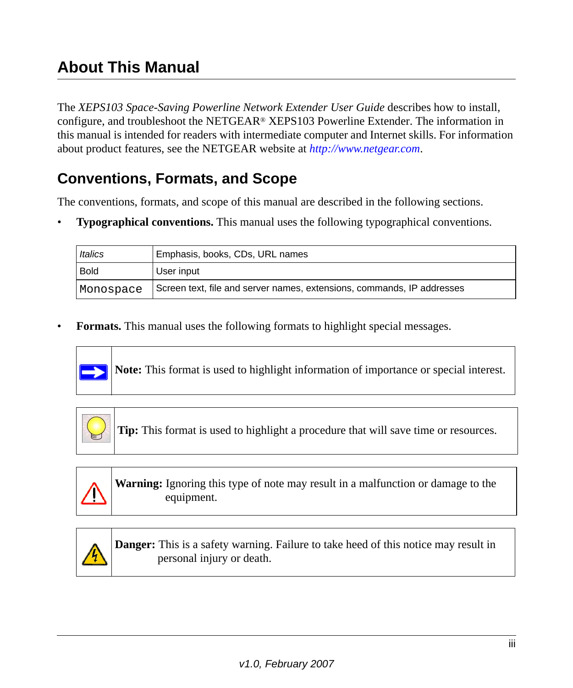## <span id="page-6-0"></span>**About This Manual**

The *XEPS103 Space-Saving Powerline Network Extender User Guide* describes how to install, configure, and troubleshoot the NETGEAR® XEPS103 Powerline Extender. The information in this manual is intended for readers with intermediate computer and Internet skills. For information about product features, see the NETGEAR website at *<http://www.netgear.com>*.

#### <span id="page-6-1"></span>**Conventions, Formats, and Scope**

The conventions, formats, and scope of this manual are described in the following sections.

• **Typographical conventions.** This manual uses the following typographical conventions.

| <i>Italics</i> | Emphasis, books, CDs, URL names                                        |
|----------------|------------------------------------------------------------------------|
| <b>Bold</b>    | User input                                                             |
| Monospace      | Screen text, file and server names, extensions, commands, IP addresses |

• **Formats.** This manual uses the following formats to highlight special messages.





**Tip:** This format is used to highlight a procedure that will save time or resources.

**Warning:** Ignoring this type of note may result in a malfunction or damage to the equipment.



**Danger:** This is a safety warning. Failure to take heed of this notice may result in personal injury or death.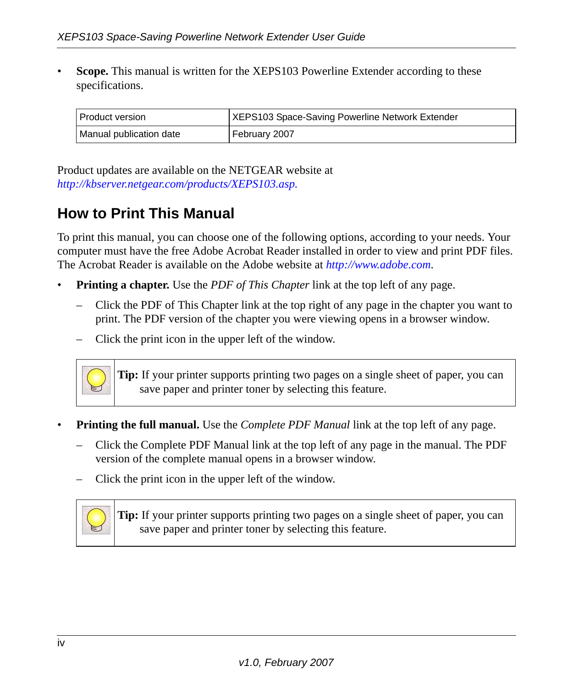**Scope.** This manual is written for the XEPS103 Powerline Extender according to these specifications.

| l Product version_      | XEPS103 Space-Saving Powerline Network Extender |
|-------------------------|-------------------------------------------------|
| Manual publication date | February 2007                                   |

Product updates are available on the NETGEAR website at *[http://kbserver.netgear.com/products/XEPS103.asp.](http://kbserver.netgear.com/products/XEPS103.asp)*

#### <span id="page-7-0"></span>**How to Print This Manual**

To print this manual, you can choose one of the following options, according to your needs. Your computer must have the free Adobe Acrobat Reader installed in order to view and print PDF files. The Acrobat Reader is available on the Adobe website at *<http://www.adobe.com>*.

- **Printing a chapter.** Use the *PDF of This Chapter* link at the top left of any page.
	- Click the PDF of This Chapter link at the top right of any page in the chapter you want to print. The PDF version of the chapter you were viewing opens in a browser window.
	- Click the print icon in the upper left of the window.



**Tip:** If your printer supports printing two pages on a single sheet of paper, you can save paper and printer toner by selecting this feature.

- **Printing the full manual.** Use the *Complete PDF Manual* link at the top left of any page.
	- Click the Complete PDF Manual link at the top left of any page in the manual. The PDF version of the complete manual opens in a browser window.
	- Click the print icon in the upper left of the window.



**Tip:** If your printer supports printing two pages on a single sheet of paper, you can save paper and printer toner by selecting this feature.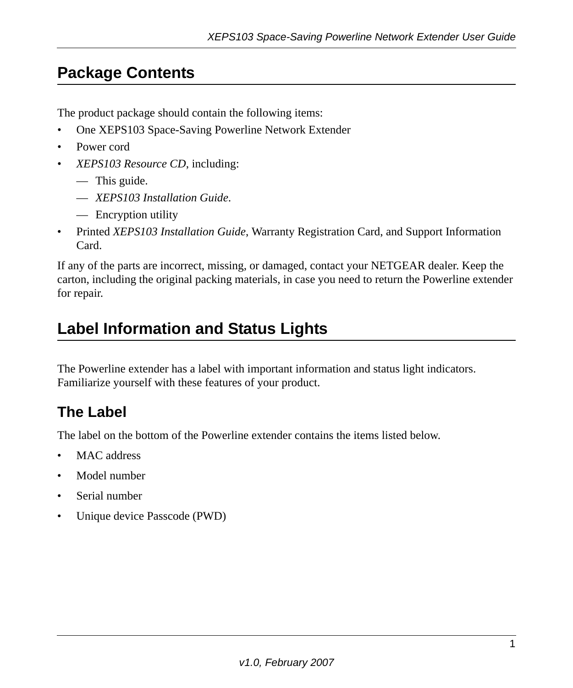### <span id="page-8-0"></span>**Package Contents**

The product package should contain the following items:

- One XEPS103 Space-Saving Powerline Network Extender
- Power cord
- *XEPS103 Resource CD*, including:
	- This guide.
	- *XEPS103 Installation Guide*.
	- Encryption utility
- Printed *XEPS103 Installation Guide*, Warranty Registration Card, and Support Information Card.

If any of the parts are incorrect, missing, or damaged, contact your NETGEAR dealer. Keep the carton, including the original packing materials, in case you need to return the Powerline extender for repair.

## <span id="page-8-1"></span>**Label Information and Status Lights**

The Powerline extender has a label with important information and status light indicators. Familiarize yourself with these features of your product.

### <span id="page-8-2"></span>**The Label**

The label on the bottom of the Powerline extender contains the items listed below.

- MAC address
- Model number
- Serial number
- Unique device Passcode (PWD)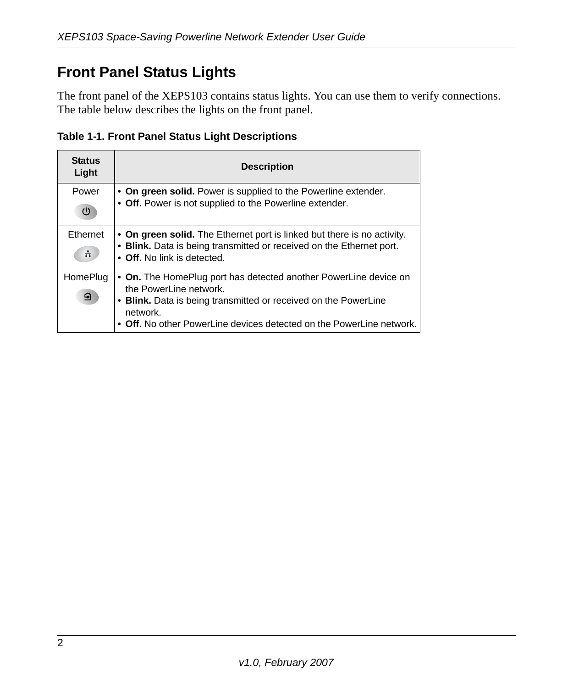### <span id="page-9-0"></span>**Front Panel Status Lights**

The front panel of the XEPS103 contains status lights. You can use them to verify connections. The table below describes the lights on the front panel.

<span id="page-9-1"></span>

| Table 1-1. Front Panel Status Light Descriptions |  |
|--------------------------------------------------|--|
|--------------------------------------------------|--|

| <b>Status</b><br>Light     | <b>Description</b>                                                                                                                                                                                                                                |
|----------------------------|---------------------------------------------------------------------------------------------------------------------------------------------------------------------------------------------------------------------------------------------------|
| Power<br>$\mathbf{\Omega}$ | • On green solid. Power is supplied to the Powerline extender.<br>• Off. Power is not supplied to the Powerline extender.                                                                                                                         |
| Ethernet<br>$\frac{1}{4}$  | • On green solid. The Ethernet port is linked but there is no activity.<br>• Blink. Data is being transmitted or received on the Ethernet port.<br>• Off. No link is detected.                                                                    |
| <b>HomePlug</b><br>⊴       | • On. The HomePlug port has detected another PowerLine device on<br>the PowerLine network.<br>• Blink. Data is being transmitted or received on the PowerLine<br>network.<br>• Off. No other PowerLine devices detected on the PowerLine network. |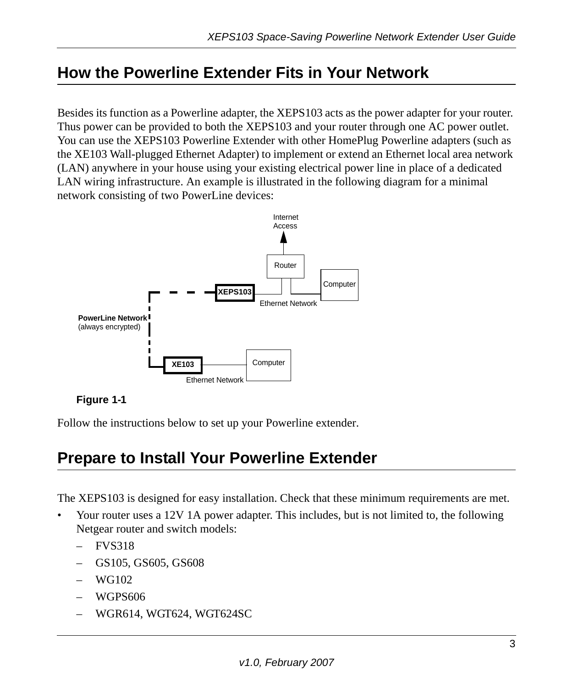### <span id="page-10-0"></span>**How the Powerline Extender Fits in Your Network**

Besides its function as a Powerline adapter, the XEPS103 acts as the power adapter for your router. Thus power can be provided to both the XEPS103 and your router through one AC power outlet. You can use the XEPS103 Powerline Extender with other HomePlug Powerline adapters (such as the XE103 Wall-plugged Ethernet Adapter) to implement or extend an Ethernet local area network (LAN) anywhere in your house using your existing electrical power line in place of a dedicated LAN wiring infrastructure. An example is illustrated in the following diagram for a minimal network consisting of two PowerLine devices:





Follow the instructions below to set up your Powerline extender.

### <span id="page-10-1"></span>**Prepare to Install Your Powerline Extender**

The XEPS103 is designed for easy installation. Check that these minimum requirements are met.

- Your router uses a 12V 1A power adapter. This includes, but is not limited to, the following Netgear router and switch models:
	- FVS318
	- GS105, GS605, GS608
	- WG102
	- WGPS606
	- WGR614, WGT624, WGT624SC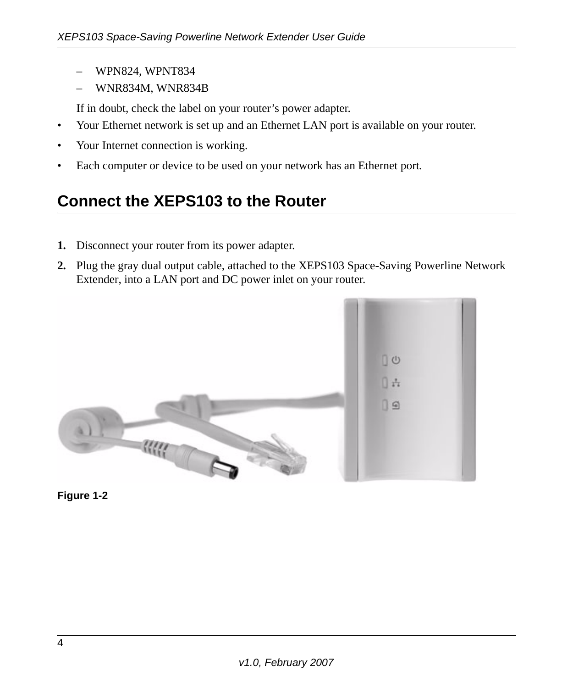- WPN824, WPNT834
- WNR834M, WNR834B

If in doubt, check the label on your router's power adapter.

- Your Ethernet network is set up and an Ethernet LAN port is available on your router.
- Your Internet connection is working.
- Each computer or device to be used on your network has an Ethernet port*.*

# <span id="page-11-0"></span>**Connect the XEPS103 to the Router**

- **1.** Disconnect your router from its power adapter.
- **2.** Plug the gray dual output cable, attached to the XEPS103 Space-Saving Powerline Network Extender, into a LAN port and DC power inlet on your router.



**Figure 1-2**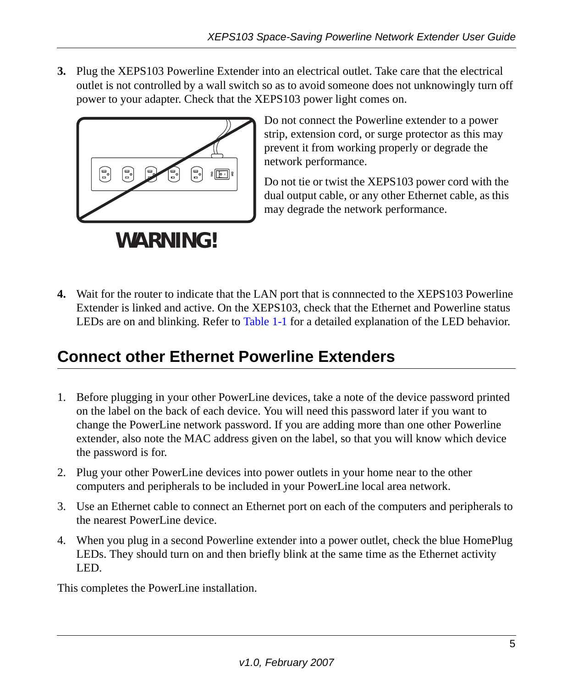**3.** Plug the XEPS103 Powerline Extender into an electrical outlet. Take care that the electrical outlet is not controlled by a wall switch so as to avoid someone does not unknowingly turn off power to your adapter. Check that the XEPS103 power light comes on.



Do not connect the Powerline extender to a power strip, extension cord, or surge protector as this may prevent it from working properly or degrade the network performance.

Do not tie or twist the XEPS103 power cord with the dual output cable, or any other Ethernet cable, as this may degrade the network performance.

**4.** Wait for the router to indicate that the LAN port that is connnected to the XEPS103 Powerline Extender is linked and active. On the XEPS103, check that the Ethernet and Powerline status LEDs are on and blinking. Refer to [Table 1-1](#page-9-1) for a detailed explanation of the LED behavior.

## <span id="page-12-0"></span>**Connect other Ethernet Powerline Extenders**

- 1. Before plugging in your other PowerLine devices, take a note of the device password printed on the label on the back of each device. You will need this password later if you want to change the PowerLine network password. If you are adding more than one other Powerline extender, also note the MAC address given on the label, so that you will know which device the password is for.
- 2. Plug your other PowerLine devices into power outlets in your home near to the other computers and peripherals to be included in your PowerLine local area network.
- 3. Use an Ethernet cable to connect an Ethernet port on each of the computers and peripherals to the nearest PowerLine device.
- 4. When you plug in a second Powerline extender into a power outlet, check the blue HomePlug LEDs. They should turn on and then briefly blink at the same time as the Ethernet activity LED.

This completes the PowerLine installation.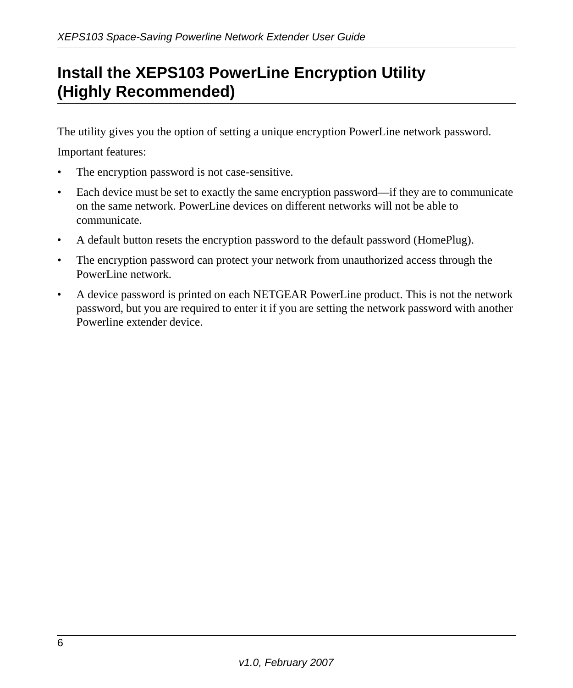## <span id="page-13-0"></span>**Install the XEPS103 PowerLine Encryption Utility (Highly Recommended)**

The utility gives you the option of setting a unique encryption PowerLine network password.

Important features:

- The encryption password is not case-sensitive.
- Each device must be set to exactly the same encryption password—if they are to communicate on the same network. PowerLine devices on different networks will not be able to communicate.
- A default button resets the encryption password to the default password (HomePlug).
- The encryption password can protect your network from unauthorized access through the PowerLine network.
- A device password is printed on each NETGEAR PowerLine product. This is not the network password, but you are required to enter it if you are setting the network password with another Powerline extender device.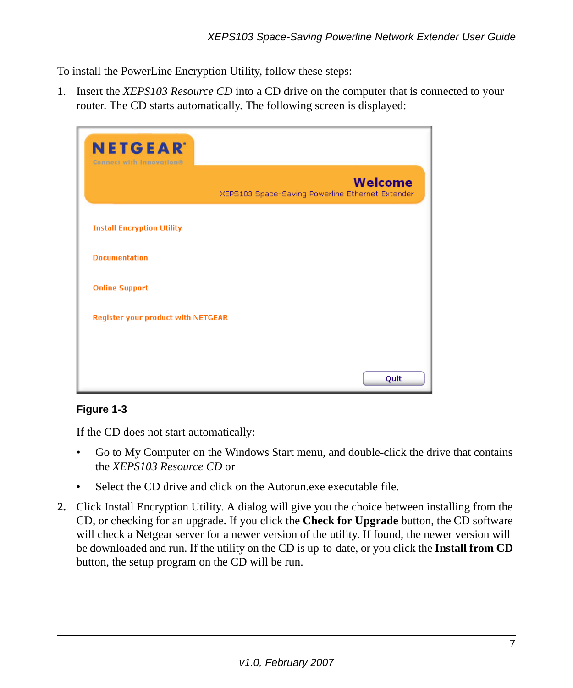To install the PowerLine Encryption Utility, follow these steps:

1. Insert the *XEPS103 Resource CD* into a CD drive on the computer that is connected to your router. The CD starts automatically. The following screen is displayed:

| <b>NETGEAR®</b><br><b>Connect with Innovation®</b> |                                                             |
|----------------------------------------------------|-------------------------------------------------------------|
|                                                    | Welcome<br>XEPS103 Space-Saving Powerline Ethernet Extender |
| <b>Install Encryption Utility</b>                  |                                                             |
| <b>Documentation</b>                               |                                                             |
| <b>Online Support</b>                              |                                                             |
| Register your product with NETGEAR                 |                                                             |
|                                                    |                                                             |
|                                                    | Quit                                                        |

#### **Figure 1-3**

If the CD does not start automatically:

- Go to My Computer on the Windows Start menu, and double-click the drive that contains the *XEPS103 Resource CD* or
- Select the CD drive and click on the Autorun.exe executable file.
- **2.** Click Install Encryption Utility. A dialog will give you the choice between installing from the CD, or checking for an upgrade. If you click the **Check for Upgrade** button, the CD software will check a Netgear server for a newer version of the utility. If found, the newer version will be downloaded and run. If the utility on the CD is up-to-date, or you click the **Install from CD** button, the setup program on the CD will be run.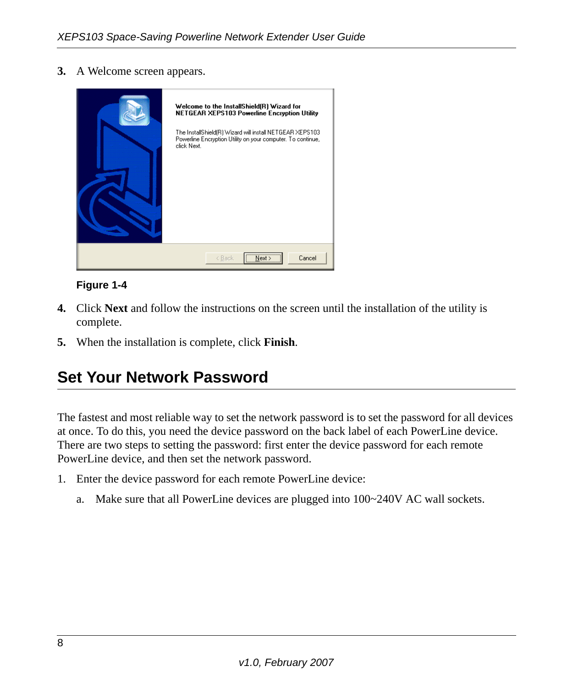**3.** A Welcome screen appears.



#### **Figure 1-4**

- **4.** Click **Next** and follow the instructions on the screen until the installation of the utility is complete.
- **5.** When the installation is complete, click **Finish**.

### <span id="page-15-0"></span>**Set Your Network Password**

The fastest and most reliable way to set the network password is to set the password for all devices at once. To do this, you need the device password on the back label of each PowerLine device. There are two steps to setting the password: first enter the device password for each remote PowerLine device, and then set the network password.

- 1. Enter the device password for each remote PowerLine device:
	- a. Make sure that all PowerLine devices are plugged into 100~240V AC wall sockets.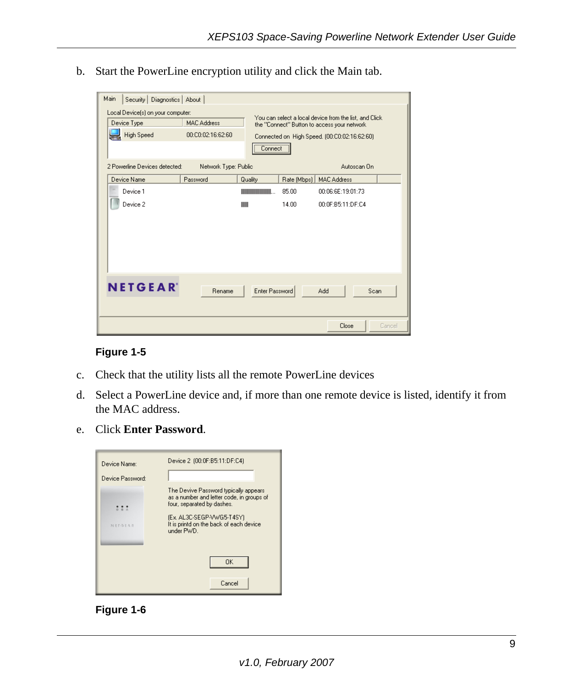b. Start the PowerLine encryption utility and click the Main tab.

| Main<br>Security   Diagnostics   About                                |                                         |                                        |                      |                                                                                                                                                       |        |
|-----------------------------------------------------------------------|-----------------------------------------|----------------------------------------|----------------------|-------------------------------------------------------------------------------------------------------------------------------------------------------|--------|
| Local Device(s) on your computer:<br>Device Type<br><b>High Speed</b> | <b>MAC Address</b><br>00:C0:02:16:62:60 |                                        |                      | You can select a local device from the list, and Click<br>the "Connect" Button to access your network<br>Connected on High Speed. (00:C0:02:16:62:60) |        |
| 2 Powerline Devices detected:<br>Device Name                          | Network Type: Public<br>Password        | Connect                                |                      | Autoscan Onl<br><b>MAC Address</b>                                                                                                                    |        |
| Device 1                                                              |                                         | Quality<br><b>HIIIIIIIIIIIIIII</b> III | Rate (Mbps)<br>85.00 | 00:06:6E:19:01:73                                                                                                                                     |        |
| Device 2                                                              |                                         | IIIIII                                 | 14.00                | 00:0F:B5:11:DF:C4                                                                                                                                     |        |
| <b>NETGEAR</b>                                                        | Rename                                  | <b>Enter Password</b>                  |                      | Add                                                                                                                                                   | Scan   |
|                                                                       |                                         |                                        |                      | Close                                                                                                                                                 | Cancel |

**Figure 1-5**

- c. Check that the utility lists all the remote PowerLine devices
- d. Select a PowerLine device and, if more than one remote device is listed, identify it from the MAC address.
- e. Click **Enter Password**.

| Device Name:<br>Device Password: | Device 2 (00:0F:B5:11:DF:C4)                                                                                                                                                                           |
|----------------------------------|--------------------------------------------------------------------------------------------------------------------------------------------------------------------------------------------------------|
| <b>NETGEAR</b>                   | The Devive Password typically appears<br>as a number and letter code, in groups of<br>four, separated by dashes.<br>(Ex. AL3C-SEGP-VWG5-T4SY)<br>It is printd on the back of each device<br>under PWD. |
|                                  | 0K<br>Cancel                                                                                                                                                                                           |

#### **Figure 1-6**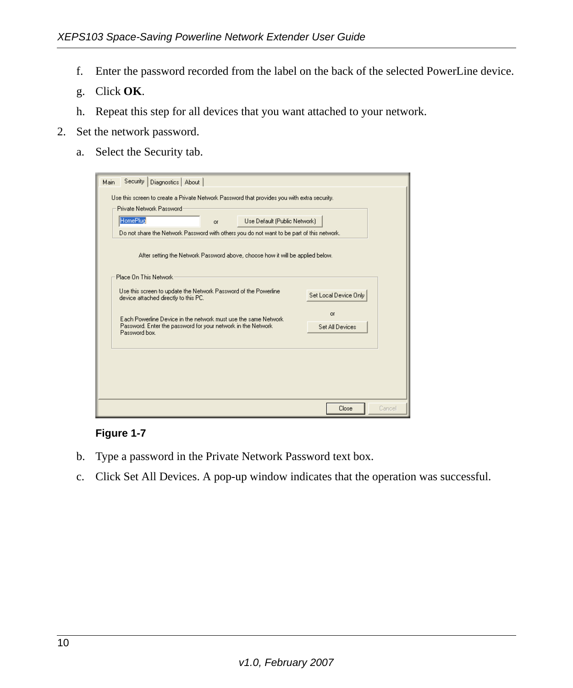- f. Enter the password recorded from the label on the back of the selected PowerLine device.
- g. Click **OK**.
- h. Repeat this step for all devices that you want attached to your network.
- 2. Set the network password.
	- a. Select the Security tab.

| Security<br>Diagnostics   About  <br>Main                                                                                        |       |        |  |  |  |  |  |
|----------------------------------------------------------------------------------------------------------------------------------|-------|--------|--|--|--|--|--|
| Use this screen to create a Private Network Password that provides you with extra security.                                      |       |        |  |  |  |  |  |
| Private Network Password                                                                                                         |       |        |  |  |  |  |  |
| HomePlug<br>Use Default (Public Network)<br><b>OF</b>                                                                            |       |        |  |  |  |  |  |
| Do not share the Network Password with others you do not want to be part of this network.                                        |       |        |  |  |  |  |  |
| After setting the Network Password above, choose how it will be applied below.<br>Place On This Network                          |       |        |  |  |  |  |  |
| Use this screen to update the Network Password of the Powerline<br>Set Local Device Only<br>device attached directly to this PC. |       |        |  |  |  |  |  |
| or<br>Each Powerline Device in the network must use the same Network                                                             |       |        |  |  |  |  |  |
| Password. Enter the password for your network in the Network.<br>Set All Devices<br>Password box.                                |       |        |  |  |  |  |  |
|                                                                                                                                  |       |        |  |  |  |  |  |
|                                                                                                                                  |       |        |  |  |  |  |  |
|                                                                                                                                  |       |        |  |  |  |  |  |
|                                                                                                                                  |       |        |  |  |  |  |  |
|                                                                                                                                  |       |        |  |  |  |  |  |
|                                                                                                                                  | Close | Cancel |  |  |  |  |  |

#### **Figure 1-7**

- b. Type a password in the Private Network Password text box.
- c. Click Set All Devices. A pop-up window indicates that the operation was successful.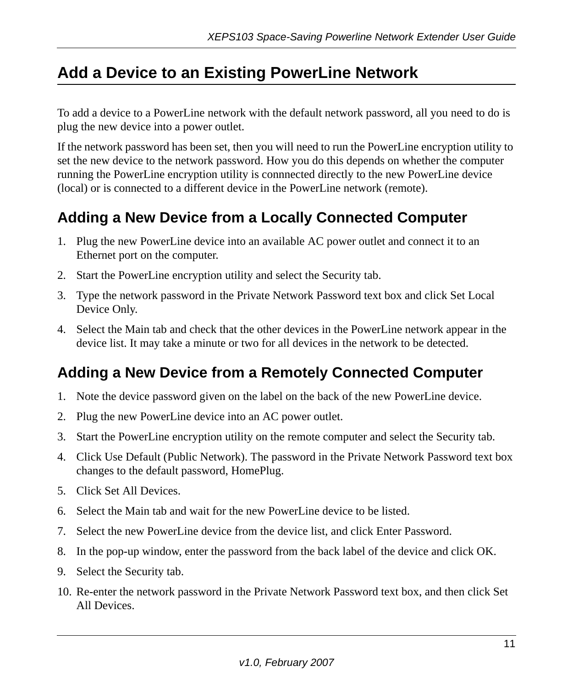### <span id="page-18-0"></span>**Add a Device to an Existing PowerLine Network**

To add a device to a PowerLine network with the default network password, all you need to do is plug the new device into a power outlet.

If the network password has been set, then you will need to run the PowerLine encryption utility to set the new device to the network password. How you do this depends on whether the computer running the PowerLine encryption utility is connnected directly to the new PowerLine device (local) or is connected to a different device in the PowerLine network (remote).

### <span id="page-18-1"></span>**Adding a New Device from a Locally Connected Computer**

- 1. Plug the new PowerLine device into an available AC power outlet and connect it to an Ethernet port on the computer.
- 2. Start the PowerLine encryption utility and select the Security tab.
- 3. Type the network password in the Private Network Password text box and click Set Local Device Only.
- 4. Select the Main tab and check that the other devices in the PowerLine network appear in the device list. It may take a minute or two for all devices in the network to be detected.

### <span id="page-18-2"></span>**Adding a New Device from a Remotely Connected Computer**

- 1. Note the device password given on the label on the back of the new PowerLine device.
- 2. Plug the new PowerLine device into an AC power outlet.
- 3. Start the PowerLine encryption utility on the remote computer and select the Security tab.
- 4. Click Use Default (Public Network). The password in the Private Network Password text box changes to the default password, HomePlug.
- 5. Click Set All Devices.
- 6. Select the Main tab and wait for the new PowerLine device to be listed.
- 7. Select the new PowerLine device from the device list, and click Enter Password.
- 8. In the pop-up window, enter the password from the back label of the device and click OK.
- 9. Select the Security tab.
- 10. Re-enter the network password in the Private Network Password text box, and then click Set All Devices.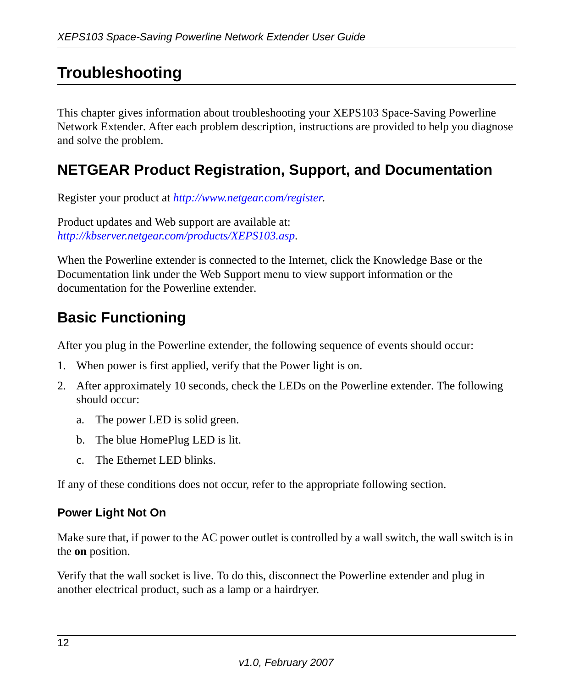### <span id="page-19-0"></span>**Troubleshooting**

This chapter gives information about troubleshooting your XEPS103 Space-Saving Powerline Network Extender. After each problem description, instructions are provided to help you diagnose and solve the problem.

### <span id="page-19-1"></span>**NETGEAR Product Registration, Support, and Documentation**

Register your product at *<http://www.netgear.com/register>*.

Product updates and Web support are available at: *<http://kbserver.netgear.com/products/XEPS103.asp>*.

When the Powerline extender is connected to the Internet, click the Knowledge Base or the Documentation link under the Web Support menu to view support information or the documentation for the Powerline extender.

### <span id="page-19-2"></span>**Basic Functioning**

After you plug in the Powerline extender, the following sequence of events should occur:

- 1. When power is first applied, verify that the Power light is on.
- 2. After approximately 10 seconds, check the LEDs on the Powerline extender. The following should occur:
	- a. The power LED is solid green.
	- b. The blue HomePlug LED is lit.
	- c. The Ethernet LED blinks.

If any of these conditions does not occur, refer to the appropriate following section.

#### **Power Light Not On**

Make sure that, if power to the AC power outlet is controlled by a wall switch, the wall switch is in the **on** position.

Verify that the wall socket is live. To do this, disconnect the Powerline extender and plug in another electrical product, such as a lamp or a hairdryer.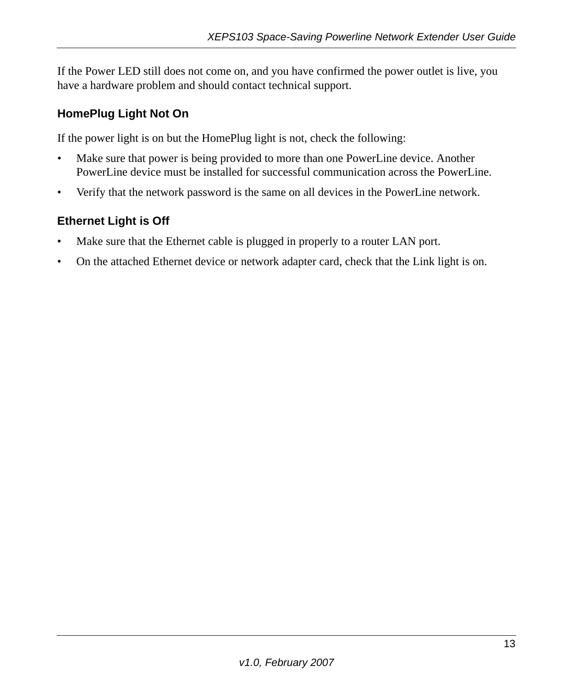If the Power LED still does not come on, and you have confirmed the power outlet is live, you have a hardware problem and should contact technical support.

#### **HomePlug Light Not On**

If the power light is on but the HomePlug light is not, check the following:

- Make sure that power is being provided to more than one PowerLine device. Another PowerLine device must be installed for successful communication across the PowerLine.
- Verify that the network password is the same on all devices in the PowerLine network.

#### **Ethernet Light is Off**

- Make sure that the Ethernet cable is plugged in properly to a router LAN port.
- On the attached Ethernet device or network adapter card, check that the Link light is on.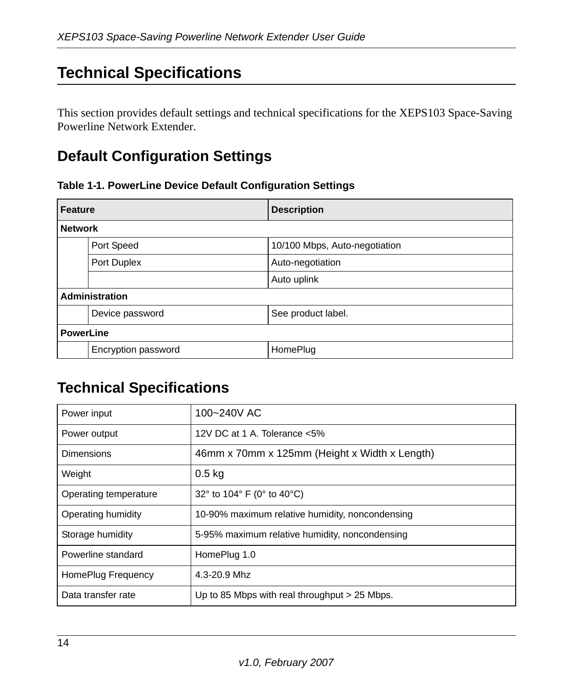### <span id="page-21-0"></span>**Technical Specifications**

This section provides default settings and technical specifications for the XEPS103 Space-Saving Powerline Network Extender.

#### <span id="page-21-1"></span>**Default Configuration Settings**

| Table 1-1. PowerLine Device Default Configuration Settings |  |  |  |  |  |  |  |  |
|------------------------------------------------------------|--|--|--|--|--|--|--|--|
|------------------------------------------------------------|--|--|--|--|--|--|--|--|

| <b>Feature</b>   |                     | <b>Description</b>            |  |
|------------------|---------------------|-------------------------------|--|
| <b>Network</b>   |                     |                               |  |
|                  | Port Speed          | 10/100 Mbps, Auto-negotiation |  |
|                  | Port Duplex         | Auto-negotiation              |  |
|                  |                     | Auto uplink                   |  |
| Administration   |                     |                               |  |
|                  | Device password     | See product label.            |  |
| <b>PowerLine</b> |                     |                               |  |
|                  | Encryption password | HomePlug                      |  |

#### <span id="page-21-2"></span>**Technical Specifications**

| Power input           | 100~240V AC                                                     |
|-----------------------|-----------------------------------------------------------------|
| Power output          | 12V DC at 1 A. Tolerance <5%                                    |
| <b>Dimensions</b>     | 46mm x 70mm x 125mm (Height x Width x Length)                   |
| Weight                | $0.5$ kg                                                        |
| Operating temperature | 32 $\degree$ to 104 $\degree$ F (0 $\degree$ to 40 $\degree$ C) |
| Operating humidity    | 10-90% maximum relative humidity, noncondensing                 |
| Storage humidity      | 5-95% maximum relative humidity, noncondensing                  |
| Powerline standard    | HomePlug 1.0                                                    |
| HomePlug Frequency    | 4.3-20.9 Mhz                                                    |
| Data transfer rate    | Up to 85 Mbps with real throughput > 25 Mbps.                   |